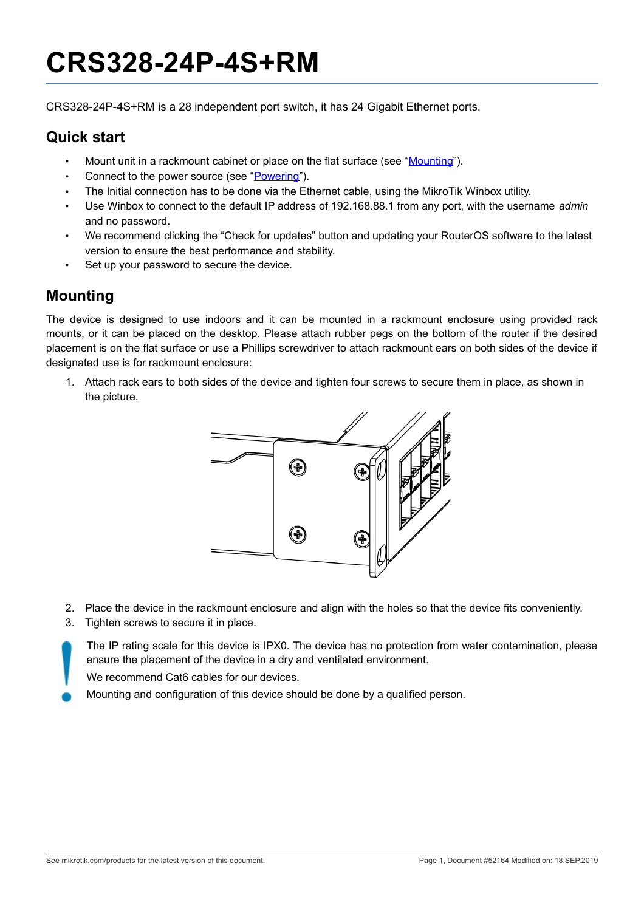# **CRS328-24P-4S+RM**

CRS328-24P-4S+RM is a 28 independent port switch, it has 24 Gigabit Ethernet ports.

#### **Quick start**

- Mount unit in a rackmount cabinet or place on the flat surface (see ["Mounting"](#page-0-0)).
- Connect to the power source (see ["Powering"](#page-1-0)).
- The Initial connection has to be done via the Ethernet cable, using the MikroTik Winbox utility.
- Use Winbox to connect to the default IP address of 192.168.88.1 from any port, with the username *admin* and no password.
- We recommend clicking the "Check for updates" button and updating your RouterOS software to the latest version to ensure the best performance and stability.
- Set up your password to secure the device.

## <span id="page-0-0"></span>**Mounting**

The device is designed to use indoors and it can be mounted in a rackmount enclosure using provided rack mounts, or it can be placed on the desktop. Please attach rubber pegs on the bottom of the router if the desired placement is on the flat surface or use a Phillips screwdriver to attach rackmount ears on both sides of the device if designated use is for rackmount enclosure:

1. Attach rack ears to both sides of the device and tighten four screws to secure them in place, as shown in the picture.



- 2. Place the device in the rackmount enclosure and align with the holes so that the device fits conveniently.
- 3. Tighten screws to secure it in place.

The IP rating scale for this device is IPX0. The device has no protection from water contamination, please ensure the placement of the device in a dry and ventilated environment.

We recommend Cat6 cables for our devices.

Mounting and configuration of this device should be done by a qualified person.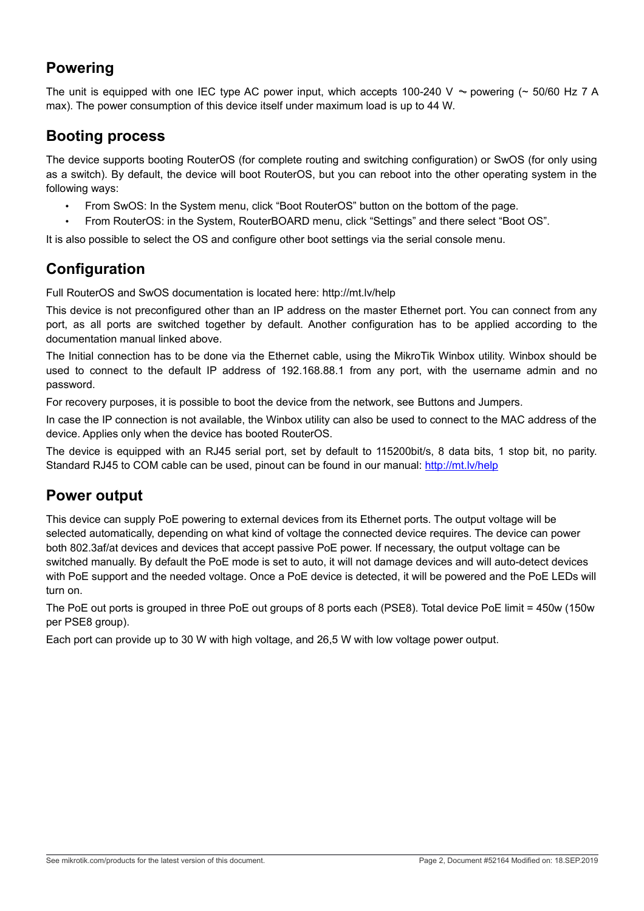### <span id="page-1-0"></span>**Powering**

The unit is equipped with one IEC type AC power input, which accepts 100-240 V  $\sim$  powering ( $\sim$  50/60 Hz 7 A max). The power consumption of this device itself under maximum load is up to 44 W.

#### **Booting process**

The device supports booting RouterOS (for complete routing and switching configuration) or SwOS (for only using as a switch). By default, the device will boot RouterOS, but you can reboot into the other operating system in the following ways:

- From SwOS: In the System menu, click "Boot RouterOS" button on the bottom of the page.
- From RouterOS: in the System, RouterBOARD menu, click "Settings" and there select "Boot OS".

It is also possible to select the OS and configure other boot settings via the serial console menu.

## **Configuration**

Full RouterOS and SwOS documentation is located here: http://mt.lv/help

This device is not preconfigured other than an IP address on the master Ethernet port. You can connect from any port, as all ports are switched together by default. Another configuration has to be applied according to the documentation manual linked above.

The Initial connection has to be done via the Ethernet cable, using the MikroTik Winbox utility. Winbox should be used to connect to the default IP address of 192.168.88.1 from any port, with the username admin and no password.

For recovery purposes, it is possible to boot the device from the network, see [Buttons and Jumpers.](#page-2-0)

In case the IP connection is not available, the Winbox utility can also be used to connect to the MAC address of the device. Applies only when the device has booted RouterOS.

The device is equipped with an RJ45 serial port, set by default to 115200bit/s, 8 data bits, 1 stop bit, no parity. Standard RJ45 to COM cable can be used, pinout can be found in our manual:<http://mt.lv/help>

### **Power output**

This device can supply PoE powering to external devices from its Ethernet ports. The output voltage will be selected automatically, depending on what kind of voltage the connected device requires. The device can power both 802.3af/at devices and devices that accept passive PoE power. If necessary, the output voltage can be switched manually. By default the PoE mode is set to auto, it will not damage devices and will auto-detect devices with PoE support and the needed voltage. Once a PoE device is detected, it will be powered and the PoE LEDs will turn on.

The PoE out ports is grouped in three PoE out groups of 8 ports each (PSE8). Total device PoE limit = 450w (150w per PSE8 group).

Each port can provide up to 30 W with high voltage, and 26,5 W with low voltage power output.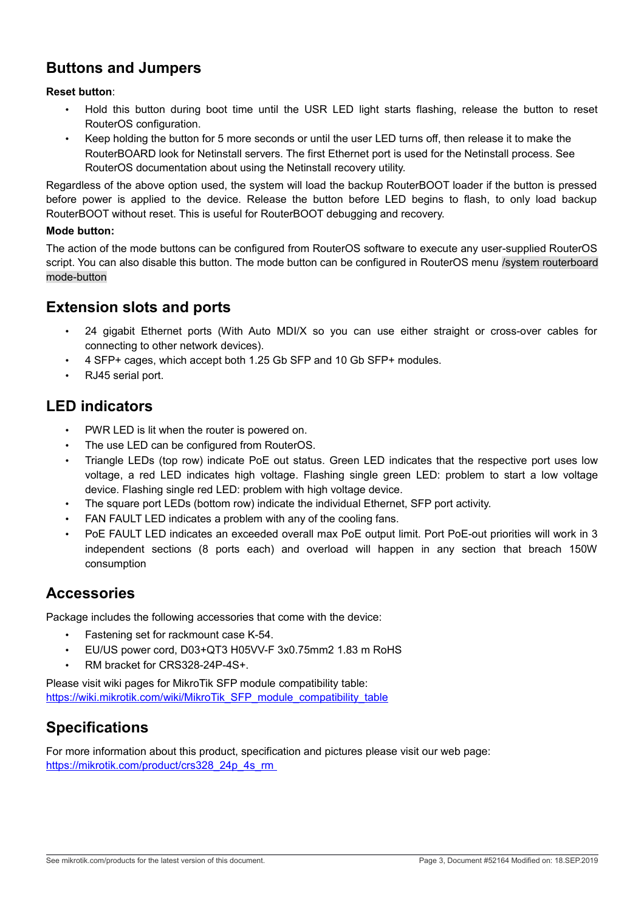# <span id="page-2-0"></span>**Buttons and Jumpers**

#### **Reset button**:

- Hold this button during boot time until the USR LED light starts flashing, release the button to reset RouterOS configuration.
- Keep holding the button for 5 more seconds or until the user LED turns off, then release it to make the RouterBOARD look for Netinstall servers. The first Ethernet port is used for the Netinstall process. See RouterOS documentation about using the Netinstall recovery utility.

Regardless of the above option used, the system will load the backup RouterBOOT loader if the button is pressed before power is applied to the device. Release the button before LED begins to flash, to only load backup RouterBOOT without reset. This is useful for RouterBOOT debugging and recovery.

#### **Mode button:**

The action of the mode buttons can be configured from RouterOS software to execute any user-supplied RouterOS script. You can also disable this button. The mode button can be configured in RouterOS menu /system routerboard mode-button

#### **Extension slots and ports**

- 24 gigabit Ethernet ports (With Auto MDI/X so you can use either straight or cross-over cables for connecting to other network devices).
- 4 SFP+ cages, which accept both 1.25 Gb SFP and 10 Gb SFP+ modules.
- RJ45 serial port.

#### **LED indicators**

- PWR LED is lit when the router is powered on.
- The use LED can be configured from RouterOS.
- Triangle LEDs (top row) indicate PoE out status. Green LED indicates that the respective port uses low voltage, a red LED indicates high voltage. Flashing single green LED: problem to start a low voltage device. Flashing single red LED: problem with high voltage device.
- The square port LEDs (bottom row) indicate the individual Ethernet, SFP port activity.
- FAN FAULT LED indicates a problem with any of the cooling fans.
- PoE FAULT LED indicates an exceeded overall max PoE output limit. Port PoE-out priorities will work in 3 independent sections (8 ports each) and overload will happen in any section that breach 150W consumption

#### **Accessories**

Package includes the following accessories that come with the device:

- Fastening set for rackmount case K-54.
- EU/US power cord, D03+QT3 H05VV-F 3x0.75mm2 1.83 m RoHS
- RM bracket for CRS328-24P-4S+.

Please visit wiki pages for MikroTik SFP module compatibility table: [https://wiki.mikrotik.com/wiki/MikroTik\\_SFP\\_module\\_compatibility\\_table](https://wiki.mikrotik.com/wiki/MikroTik_SFP_module_compatibility_table)

### **Specifications**

For more information about this product, specification and pictures please visit our web page: [https://mikrotik.com/product/crs328\\_24p\\_4s\\_rm](https://mikrotik.com/product/crs328_24p_4s_rm)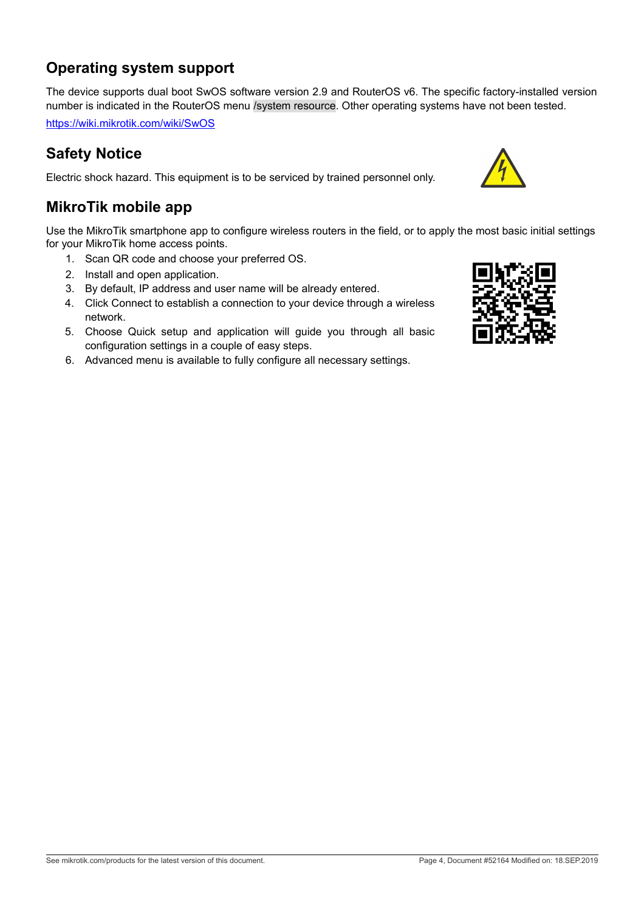# **Operating system support**

The device supports dual boot SwOS software version 2.9 and RouterOS v6. The specific factory-installed version number is indicated in the RouterOS menu /system resource. Other operating systems have not been tested.

<https://wiki.mikrotik.com/wiki/SwOS>

### **Safety Notice**

Electric shock hazard. This equipment is to be serviced by trained personnel only.

### **MikroTik mobile app**

Use the MikroTik smartphone app to configure wireless routers in the field, or to apply the most basic initial settings for your MikroTik home access points.

- 1. Scan QR code and choose your preferred OS.
- 2. Install and open application.
- 3. By default, IP address and user name will be already entered.
- 4. Click Connect to establish a connection to your device through a wireless network.
- 5. Choose Quick setup and application will guide you through all basic configuration settings in a couple of easy steps.
- 6. Advanced menu is available to fully configure all necessary settings.

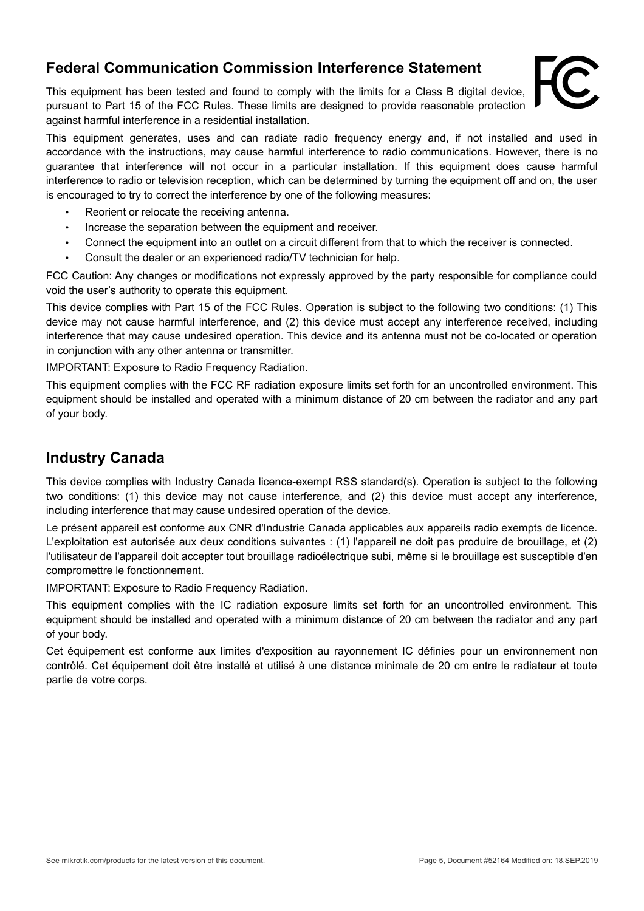# **Federal Communication Commission Interference Statement**

This equipment has been tested and found to comply with the limits for a Class B digital device, pursuant to Part 15 of the FCC Rules. These limits are designed to provide reasonable protection against harmful interference in a residential installation.



This equipment generates, uses and can radiate radio frequency energy and, if not installed and used in accordance with the instructions, may cause harmful interference to radio communications. However, there is no guarantee that interference will not occur in a particular installation. If this equipment does cause harmful interference to radio or television reception, which can be determined by turning the equipment off and on, the user is encouraged to try to correct the interference by one of the following measures:

- Reorient or relocate the receiving antenna.
- Increase the separation between the equipment and receiver.
- Connect the equipment into an outlet on a circuit different from that to which the receiver is connected.
- Consult the dealer or an experienced radio/TV technician for help.

FCC Caution: Any changes or modifications not expressly approved by the party responsible for compliance could void the user's authority to operate this equipment.

This device complies with Part 15 of the FCC Rules. Operation is subject to the following two conditions: (1) This device may not cause harmful interference, and (2) this device must accept any interference received, including interference that may cause undesired operation. This device and its antenna must not be co-located or operation in conjunction with any other antenna or transmitter.

IMPORTANT: Exposure to Radio Frequency Radiation.

This equipment complies with the FCC RF radiation exposure limits set forth for an uncontrolled environment. This equipment should be installed and operated with a minimum distance of 20 cm between the radiator and any part of your body.

#### **Industry Canada**

This device complies with Industry Canada licence-exempt RSS standard(s). Operation is subject to the following two conditions: (1) this device may not cause interference, and (2) this device must accept any interference, including interference that may cause undesired operation of the device.

Le présent appareil est conforme aux CNR d'Industrie Canada applicables aux appareils radio exempts de licence. L'exploitation est autorisée aux deux conditions suivantes : (1) l'appareil ne doit pas produire de brouillage, et (2) l'utilisateur de l'appareil doit accepter tout brouillage radioélectrique subi, même si le brouillage est susceptible d'en compromettre le fonctionnement.

IMPORTANT: Exposure to Radio Frequency Radiation.

This equipment complies with the IC radiation exposure limits set forth for an uncontrolled environment. This equipment should be installed and operated with a minimum distance of 20 cm between the radiator and any part of your body.

Cet équipement est conforme aux limites d'exposition au rayonnement IC définies pour un environnement non contrôlé. Cet équipement doit être installé et utilisé à une distance minimale de 20 cm entre le radiateur et toute partie de votre corps.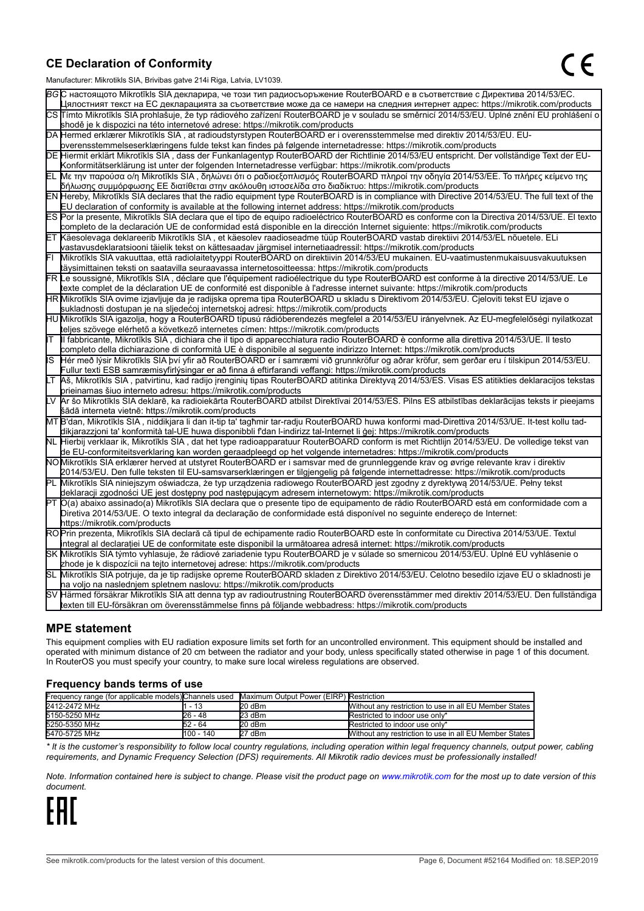#### **CE Declaration of Conformity**

Manufacturer: Mikrotikls SIA, Brivibas gatve 214i Riga, Latvia, LV1039.

|    | ividi iulaciui ci . Iviiri olinis OIA, Diivibas yatvo Z III inga, Latvia, Lv 1009                                                                                                                                                                         |  |  |  |  |
|----|-----------------------------------------------------------------------------------------------------------------------------------------------------------------------------------------------------------------------------------------------------------|--|--|--|--|
|    | ВСС настоящото Mikrotīkls SIA декларира, че този тип радиосъоръжение RouterBOARD е в съответствие с Директива 2014/53/EC.                                                                                                                                 |  |  |  |  |
|    | Цялостният текст на ЕС декларацията за съответствие може да се намери на следния интернет адрес: https://mikrotik.com/products                                                                                                                            |  |  |  |  |
|    | CS Tímto Mikrotīkls SIA prohlašuje, že typ rádiového zařízení RouterBOARD je v souladu se směrnicí 2014/53/EU. Úplné znění EU prohlášení o                                                                                                                |  |  |  |  |
|    | shodě je k dispozici na této internetové adrese: https://mikrotik.com/products                                                                                                                                                                            |  |  |  |  |
|    | DA Hermed erklærer Mikrotīkls SIA, at radioudstyrstypen RouterBOARD er i overensstemmelse med direktiv 2014/53/EU. EU-                                                                                                                                    |  |  |  |  |
|    | overensstemmelseserklæringens fulde tekst kan findes på følgende internetadresse: https://mikrotik.com/products                                                                                                                                           |  |  |  |  |
|    | DE Hiermit erklärt Mikrotīkls SIA, dass der Funkanlagentyp RouterBOARD der Richtlinie 2014/53/EU entspricht. Der vollständige Text der EU-                                                                                                                |  |  |  |  |
|    | Konformitätserklärung ist unter der folgenden Internetadresse verfügbar: https://mikrotik.com/products                                                                                                                                                    |  |  |  |  |
| ΕL | Με την παρούσα ο/η Mikrotīkls SIA, δηλώνει ότι ο ραδιοεξοπλισμός RouterBOARD πληροί την οδηγία 2014/53/ΕΕ. Το πλήρες κείμενο της<br>δήλωσης συμμόρφωσης ΕΕ διατίθεται στην ακόλουθη ιστοσελίδα στο διαδίκτυο: https://mikrotik.com/products               |  |  |  |  |
|    | EN Hereby, Mikrotīkls SIA declares that the radio equipment type RouterBOARD is in compliance with Directive 2014/53/EU. The full text of the                                                                                                             |  |  |  |  |
|    | EU declaration of conformity is available at the following internet address: https://mikrotik.com/products                                                                                                                                                |  |  |  |  |
|    | ES Por la presente, Mikrotīkls SIA declara que el tipo de equipo radioeléctrico RouterBOARD es conforme con la Directiva 2014/53/UE. El texto                                                                                                             |  |  |  |  |
|    | completo de la declaración UE de conformidad está disponible en la dirección Internet siguiente: https://mikrotik.com/products                                                                                                                            |  |  |  |  |
|    | ET Käesolevaga deklareerib Mikrotīkls SIA, et käesolev raadioseadme tüüp RouterBOARD vastab direktiivi 2014/53/EL nõuetele. ELi                                                                                                                           |  |  |  |  |
|    | vastavusdeklaratsiooni täielik tekst on kättesaadav järgmisel internetiaadressil: https://mikrotik.com/products                                                                                                                                           |  |  |  |  |
|    | Mikrotīkls SIA vakuuttaa, että radiolaitetyyppi RouterBOARD on direktiivin 2014/53/EU mukainen. EU-vaatimustenmukaisuusvakuutuksen                                                                                                                        |  |  |  |  |
|    | täysimittainen teksti on saatavilla seuraavassa internetosoitteessa: https://mikrotik.com/products                                                                                                                                                        |  |  |  |  |
|    | FR Le soussigné, Mikrotīkls SIA , déclare que l'équipement radioélectrique du type RouterBOARD est conforme à la directive 2014/53/UE. Le                                                                                                                 |  |  |  |  |
|    | texte complet de la déclaration UE de conformité est disponible à l'adresse internet suivante: https://mikrotik.com/products                                                                                                                              |  |  |  |  |
|    | HR Mikrotīkls SIA ovime izjavljuje da je radijska oprema tipa RouterBOARD u skladu s Direktivom 2014/53/EU. Cjeloviti tekst EU izjave o                                                                                                                   |  |  |  |  |
|    | sukladnosti dostupan je na sljedećoj internetskoj adresi: https://mikrotik.com/products                                                                                                                                                                   |  |  |  |  |
|    | HU Mikrotīkls SIA igazolja, hogy a RouterBOARD típusú rádióberendezés megfelel a 2014/53/EU irányelvnek. Az EU-megfelelőségi nyilatkozat                                                                                                                  |  |  |  |  |
|    | teljes szövege elérhető a következő internetes címen: https://mikrotik.com/products                                                                                                                                                                       |  |  |  |  |
| lΤ | Il fabbricante, Mikrotīkls SIA, dichiara che il tipo di apparecchiatura radio RouterBOARD è conforme alla direttiva 2014/53/UE. Il testo                                                                                                                  |  |  |  |  |
|    | completo della dichiarazione di conformità UE è disponibile al seguente indirizzo Internet: https://mikrotik.com/products                                                                                                                                 |  |  |  |  |
| IS | Hér með lýsir Mikrotīkls SIA því yfir að RouterBOARD er í samræmi við grunnkröfur og aðrar kröfur, sem gerðar eru í tilskipun 2014/53/EU.                                                                                                                 |  |  |  |  |
|    | Fullur texti ESB samræmisyfirlýsingar er að finna á eftirfarandi veffangi: https://mikrotik.com/products                                                                                                                                                  |  |  |  |  |
| LТ | Aš, Mikrotīkls SIA, patvirtinu, kad radijo įrenginių tipas RouterBOARD atitinka Direktyvą 2014/53/ES. Visas ES atitikties deklaracijos tekstas                                                                                                            |  |  |  |  |
|    | prieinamas šiuo interneto adresu: https://mikrotik.com/products                                                                                                                                                                                           |  |  |  |  |
|    | Ar šo Mikrotīkls SIA deklarē, ka radioiekārta RouterBOARD atbilst Direktīvai 2014/53/ES. Pilns ES atbilstības deklarācijas teksts ir pieejams                                                                                                             |  |  |  |  |
|    | šādā interneta vietnē: https://mikrotik.com/products                                                                                                                                                                                                      |  |  |  |  |
|    | MT B'dan, Mikrotīkls SIA , niddikjara li dan it-tip ta' tagħmir tar-radju RouterBOARD huwa konformi mad-Direttiva 2014/53/UE. It-test kollu tad-                                                                                                          |  |  |  |  |
|    | dikjarazzjoni ta' konformità tal-UE huwa disponibbli f'dan l-indirizz tal-Internet li ġej: https://mikrotik.com/products                                                                                                                                  |  |  |  |  |
|    | NL  Hierbij verklaar ik, Mikrotīkls SIA , dat het type radioapparatuur RouterBOARD conform is met Richtlijn 2014/53/EU. De volledige tekst van                                                                                                            |  |  |  |  |
|    | de EU-conformiteitsverklaring kan worden geraadpleegd op het volgende internetadres: https://mikrotik.com/products<br>NOMikrotīkls SIA erklærer herved at utstyret RouterBOARD er i samsvar med de grunnleggende krav og øvrige relevante krav i direktiv |  |  |  |  |
|    | 2014/53/EU. Den fulle teksten til EU-samsvarserklæringen er tilgjengelig på følgende internettadresse: https://mikrotik.com/products                                                                                                                      |  |  |  |  |
|    | Mikrotīkls SIA niniejszym oświadcza, że typ urządzenia radiowego RouterBOARD jest zgodny z dyrektywą 2014/53/UE. Pełny tekst                                                                                                                              |  |  |  |  |
|    | deklaracji zgodności UE jest dostępny pod następującym adresem internetowym: https://mikrotik.com/products                                                                                                                                                |  |  |  |  |
|    | PT O(a) abaixo assinado(a) Mikrotīkls SIA declara que o presente tipo de equipamento de rádio RouterBOARD está em conformidade com a                                                                                                                      |  |  |  |  |
|    | Diretiva 2014/53/UE. O texto integral da declaração de conformidade está disponível no seguinte endereço de Internet:                                                                                                                                     |  |  |  |  |
|    | https://mikrotik.com/products                                                                                                                                                                                                                             |  |  |  |  |
|    | ROPrin prezenta, Mikrotīkls SIA declară că tipul de echipamente radio RouterBOARD este în conformitate cu Directiva 2014/53/UE. Textul                                                                                                                    |  |  |  |  |
|    | integral al declaratiei UE de conformitate este disponibil la următoarea adresă internet: https://mikrotik.com/products                                                                                                                                   |  |  |  |  |
|    | SK Mikrotīkls SIA týmto vyhlasuje, že rádiové zariadenie typu RouterBOARD je v súlade so smernicou 2014/53/EÚ. Úplné EÚ vyhlásenie o                                                                                                                      |  |  |  |  |
|    | zhode je k dispozícii na tejto internetovej adrese: https://mikrotik.com/products                                                                                                                                                                         |  |  |  |  |
|    | SL Mikrotīkls SIA potrjuje, da je tip radijske opreme RouterBOARD skladen z Direktivo 2014/53/EU. Celotno besedilo izjave EU o skladnosti je                                                                                                              |  |  |  |  |
|    | na voljo na naslednjem spletnem naslovu: https://mikrotik.com/products                                                                                                                                                                                    |  |  |  |  |
|    | SV Härmed försäkrar Mikrotīkls SIA att denna typ av radioutrustning RouterBOARD överensstämmer med direktiv 2014/53/EU. Den fullständiga                                                                                                                  |  |  |  |  |
|    | texten till EU-försäkran om överensstämmelse finns på följande webbadress: https://mikrotik.com/products                                                                                                                                                  |  |  |  |  |

#### **MPE statement**

This equipment complies with EU radiation exposure limits set forth for an uncontrolled environment. This equipment should be installed and operated with minimum distance of 20 cm between the radiator and your body, unless specifically stated otherwise in page 1 of this document. In RouterOS you must specify your country, to make sure local wireless regulations are observed.

#### **Frequency bands terms of use**

| Frequency range (for applicable models) Channels used Maximum Output Power (EIRP) Restriction |           |          |                                                        |
|-----------------------------------------------------------------------------------------------|-----------|----------|--------------------------------------------------------|
| 2412-2472 MHz                                                                                 | - 13      | $20$ dBm | Without any restriction to use in all EU Member States |
| 5150-5250 MHz                                                                                 | 26 - 48   | 23 dBm   | Restricted to indoor use only*                         |
| 5250-5350 MHz                                                                                 | 52 - 64   | $20$ dBm | Restricted to indoor use only*                         |
| 5470-5725 MHz                                                                                 | 100 - 140 | 27 dBm   | Without any restriction to use in all EU Member States |

*\* It is the customer's responsibility to follow local country regulations, including operation within legal frequency channels, output power, cabling requirements, and Dynamic Frequency Selection (DFS) requirements. All Mikrotik radio devices must be professionally installed!*

*Note. Information contained here is subject to change. Please visit the product page on [www.mikrotik.com](http://www.mikrotik.com/) for the most up to date version of this document.*